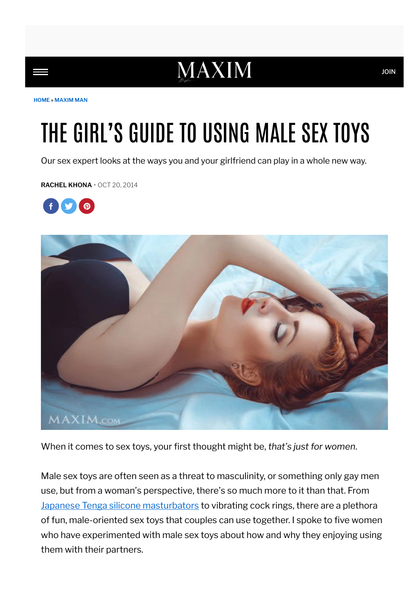# **MAXIM**

[HOME](https://www.maxim.com/) » [MAXIM](https://www.maxim.com/maxim-man/) MAN

# THE GIRL'S GUIDE TO USING MALE SEX TOYS

Our sex expert looks at the ways you and your girlfriend can play in a whole new way.

[RACHEL](https://www.maxim.com/author/rachel-khona/) KHONA · OCT 20, 2014





When it comes to sex toys, your first thought might be, that's just for women.

Male sex toys are often seen as a threat to masculinity, or something only gay men use, but from a woman's perspective, there's so much more to it than that. From Japanese Tenga silicone [masturbators](http://www.maxim.com/funny/we-got-it-the-mail) to vibrating cock rings, there are a plethora of fun, male-oriented sex toys that couples can use together. I spoke to five women who have experimented with male sex toys about how and why they enjoying using them with their partners.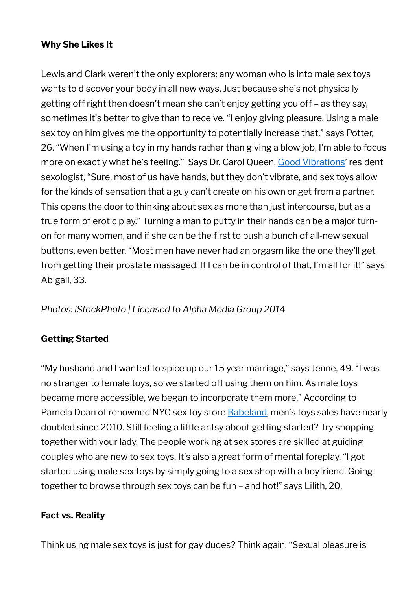# Why She Likes It

Lewis and Clark weren't the only explorers; any woman who is into male sex toys wants to discover your body in all new ways. Just because she's not physically getting off right then doesn't mean she can't enjoy getting you off – as they say, sometimes it's better to give than to receive. "I enjoy giving pleasure. Using a male sex toy on him gives me the opportunity to potentially increase that," says Potter, 26. "When I'm using a toy in my hands rather than giving a blow job, I'm able to focus more on exactly what he's feeling." Says Dr. Carol Queen, Good [Vibrations'](http://www.goodvibes.com/) resident sexologist, "Sure, most of us have hands, but they don't vibrate, and sex toys allow for the kinds of sensation that a guy can't create on his own or get from a partner. This opens the door to thinking about sex as more than just intercourse, but as a true form of erotic play." Turning a man to putty in their hands can be a major turnon for many women, and if she can be the first to push a bunch of all-new sexual buttons, even better. "Most men have never had an orgasm like the one they'll get from getting their prostate massaged. If I can be in control of that, I'm all for it!" says Abigail, 33.

# Photos: iStockPhoto | Licensed to Alpha Media Group 2014

# Getting Started

"My husband and I wanted to spice up our 15 year marriage," says Jenne, 49. "I was no stranger to female toys, so we started off using them on him. As male toys became more accessible, we began to incorporate them more." According to Pamela Doan of renowned NYC sex toy store **Babeland**, men's toys sales have nearly doubled since 2010. Still feeling a little antsy about getting started? Try shopping together with your lady. The people working at sex stores are skilled at guiding couples who are new to sex toys. It's also a great form of mental foreplay. "I got started using male sex toys by simply going to a sex shop with a boyfriend. Going together to browse through sex toys can be fun – and hot!" says Lilith, 20.

## Fact vs. Reality

Think using male sex toys is just for gay dudes? Think again. "Sexual pleasure is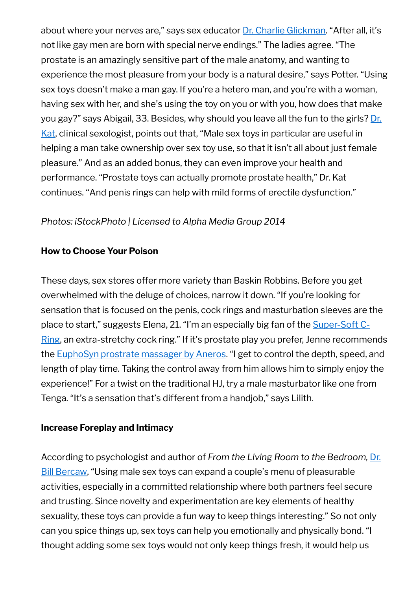about where your nerves are," says sex educator *Dr. Charlie [Glickman](http://www.makesexeasy.com/)*. "After all, it's not like gay men are born with special nerve endings." The ladies agree. "The prostate is an amazingly sensitive part of the male anatomy, and wanting to experience the most pleasure from your body is a natural desire," says Potter. "Using sex toys doesn't make a man gay. If you're a hetero man, and you're with a woman, having sex with her, and she's using the toy on you or with you, how does that make you gay?" says Abigail, 33. Besides, why should you leave all the fun to the girls? [Dr.](http://www.drkat.com/) [Kat,](http://www.drkat.com/) clinical sexologist, points out that, "Male sex toys in particular are useful in helping a man take ownership over sex toy use, so that it isn't all about just female pleasure." And as an added bonus, they can even improve your health and performance. "Prostate toys can actually promote prostate health," Dr. Kat continues. "And penis rings can help with mild forms of erectile dysfunction."

# Photos: iStockPhoto | Licensed to Alpha Media Group 2014

# How to Choose Your Poison

These days, sex stores offer more variety than Baskin Robbins. Before you get overwhelmed with the deluge of choices, narrow it down. "If you're looking for sensation that is focused on the penis, cock rings and masturbation sleeves are the place to start," suggests Elena, 21. "I'm an especially big fan of the [Super-Soft](http://www.edenfantasys.com/sex-toys-for-men/cock-rings/super-soft-c-ring-black) C-[Ring,](http://www.edenfantasys.com/sex-toys-for-men/cock-rings/super-soft-c-ring-black) an extra-stretchy cock ring." If it's prostate play you prefer, Jenne recommends the [EuphoSyn](http://www.babeland.com/aneros-prostate-stimulator/d/1471) prostrate massager by Aneros. "I get to control the depth, speed, and length of play time. Taking the control away from him allows him to simply enjoy the experience!" For a twist on the traditional HJ, try a male masturbator like one from Tenga. "It's a sensation that's different from a handjob," says Lilith.

## Increase Foreplay and Intimacy

According to psychologist and author of From the Living Room to the Bedroom, [Dr.](http://www.drsbercaw.com/) Bill [Bercaw](http://www.drsbercaw.com/), "Using male sex toys can expand a couple's menu of pleasurable activities, especially in a committed relationship where both partners feel secure and trusting. Since novelty and experimentation are key elements of healthy sexuality, these toys can provide a fun way to keep things interesting." So not only can you spice things up, sex toys can help you emotionally and physically bond. "I thought adding some sex toys would not only keep things fresh, it would help us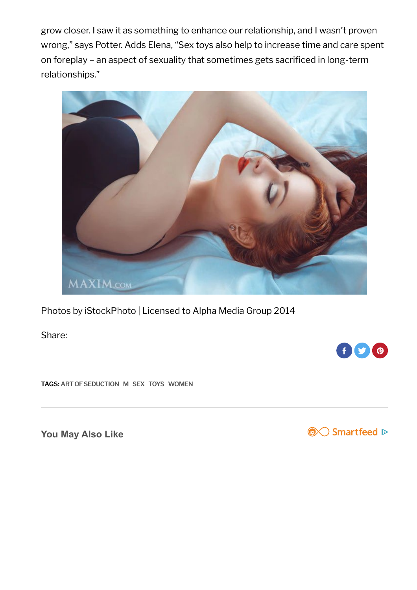grow closer. I saw it as something to enhance our relationship, and I wasn't proven wrong," says Potter. Adds Elena, "Sex toys also help to increase time and care spent on foreplay - an aspect of sexuality that sometimes gets sacrificed in long-term relationships."



Photos by iStockPhoto | Licensed to Alpha Media Group 2014

Share:

TAGS: ART OF SEDUCTION [M](https://www.maxim.com/tag/m/) [SEX](https://www.maxim.com/tag/sex/) [TOYS](https://www.maxim.com/tag/toys/) [WOMEN](https://www.maxim.com/tag/women/)

You May Also Like



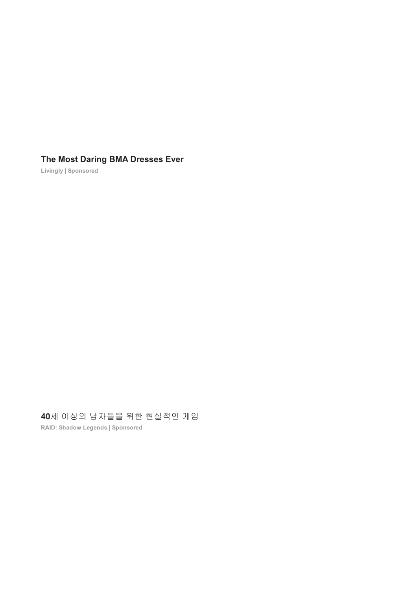# The Most Daring BMA Dresses Ever

Livingly | Sponsored

40세 이상의 남자들을 위한 [현실적인](�� h t t p s : / / c l i c k . g a m i n g t r k . c o m / 4 3 2 2 d c b 2 - 6 7 e c - 4 c 2 4 - b d 2 e - c 7 5 7 8 8 d 0 4 b f 2 ? c a m p a i g n _ i d = 0 0 0 5 d a 3 e 3 e 8 8 0 a 3 c c 4 5 b b 2 9 1 1 5 4 e 0 7 e 6 6 9 & s e c t i o n _ i d = $ s e c t i o n _ i d $ & s e c t i o n _ n a m e = $ s e c t i o n _ n a m e $ & a d _ i d = 0 0 d a b 6 5 2 e 9 c c 3 7 0 e 2 a 1 d 9 c 4 d 7 4 f 1 f 5 2 8 1 8 & a d _ t i t l e = 4 0�8  �t���X  ��ǐ���D  ��\  �����x  ��Ǆ & p u b l i s h e r _ i d = $ p u b l i s h e r _ i d $ & p u b l i s h e r _ n a m e = $ p u b l i s h e r _ n a m e $ & r e q _ i d = $ r e q _ i d $ & p r o m o t e d _ l i n k _ i d = 0 0 d a b 6 5 2 e 9 c c 3 7 0 e 2 a 1 d 9 c 4 d 7 4 f 1 f 5 2 8 1 8 & t i m e _ s t a m p = $ t i m e _ s t a m p $ & o b _ c l i c k _ i d = $ o b _ c l i c k _ i d $ & o b O r i g U r l = t r u e) 게임

RAID: Shadow Legends | Sponsored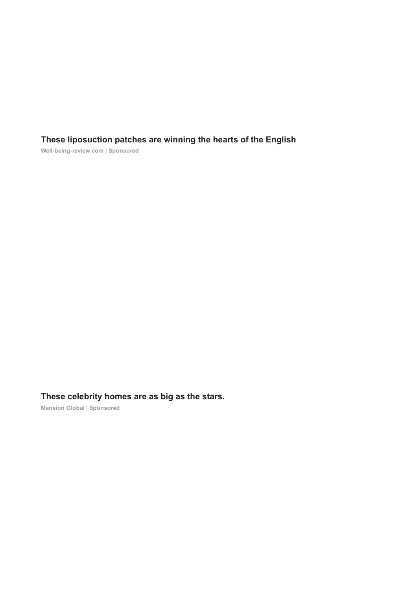# These liposuction patches are winning the hearts of the English

Well-being-review.com | Sponsored

These [celebrity](https://www.mansionglobal.com/luxury-real-estate-news/celebrity-homes/?reflink=outbrain_news-lp-int_$section_id$&reflink=outbrain_news-lp-int_$section_id$&obOrigUrl=true) homes are as big as the stars.

Mansion Global | Sponsored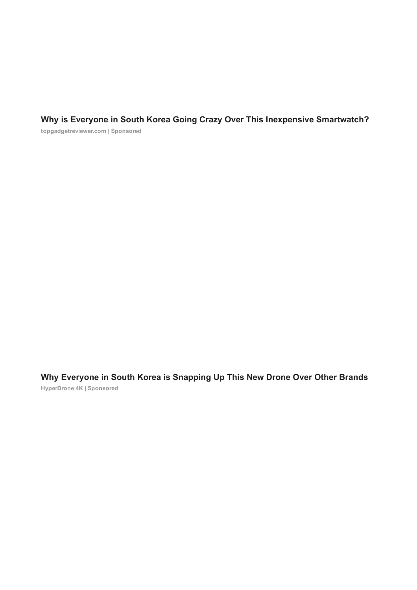Why is Everyone in South Korea Going Crazy Over This Inexpensive Smartwatch? topgadgetreviewer.com | Sponsored

Why Everyone in South Korea is [Snapping](https://dronexadvisor.org/hyperdrone-en/?obOrigUrl=true) Up This New Drone Over Other Brands HyperDrone 4K | Sponsored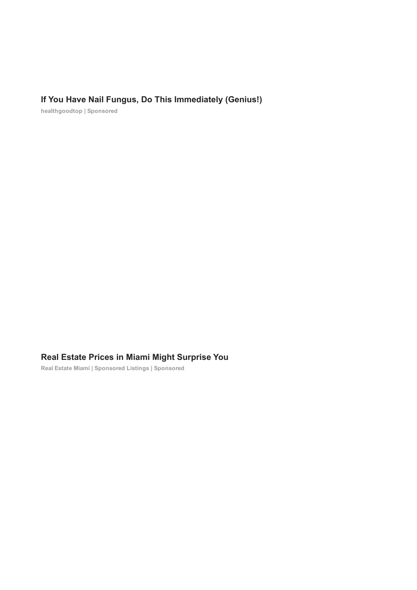# If You Have Nail Fungus, Do This Immediately (Genius!)

healthgoodtop | Sponsored

### Real Estate Prices in Miami Might [Surprise](https://tr.adoclk.com/click.php?key=0w02z82225e68vh7jmhq&clickid=$ob_click_id$&subid1=$section_id$&subid2=004f67ab467f20b930d8418ee6a9a7f6e5&subid3=00d451751a52237e1b3f0eb279749c2b18&publisher_name=$publisher_name$&zone_name=$section_name$&ad_title=Real Estate Prices in Miami Might Surprise You&obOrigUrl=true) You

Real Estate Miami | Sponsored Listings | Sponsored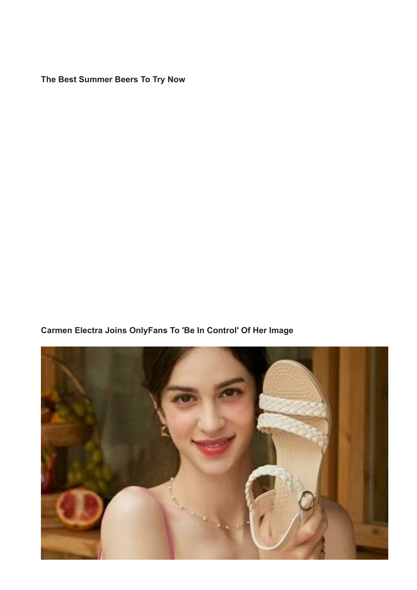The Best Summer Beers To Try Now

Carmen Electra Joins [OnlyFans](https://www.maxim.com/entertainment/carmen-electra-50-joins-onlyfans-to-be-in-control-of-her-image/?obOrigUrl=true) To 'Be In Control' Of Her Image

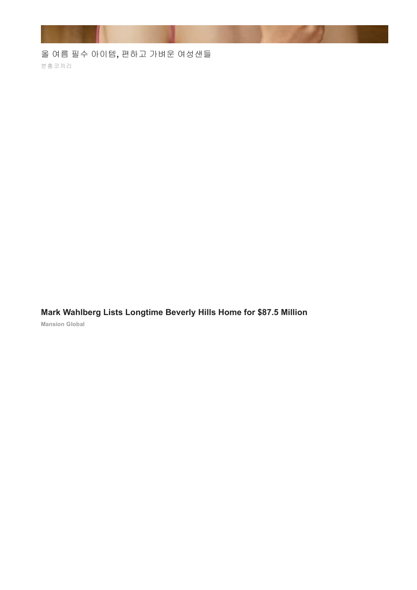올 여름 필수 아이템, 편하고 가벼운 여성샌들

분홍코끼리

Mark [Wahlberg](https://www.mansionglobal.com/articles/mark-wahlberg-lists-longtime-beverly-hills-home-for-87-5-million-01649365914?reflink=outbrain_celebrity_$section_id$&obOrigUrl=true) Lists Longtime Beverly Hills Home for \$87.5 Million Mansion Global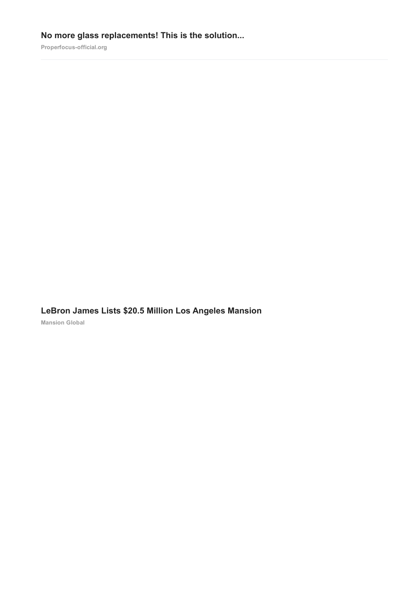# No more glass replacements! This is the solution...

Properfocus-official.org

# LeBron James Lists \$20.5 Million Los Angeles [Mansion](https://www.mansionglobal.com/articles/lebron-james-lists-20-5-million-los-angeles-mansion-224403?reflink=outbrain_celebrity-int_$section_id$&obOrigUrl=true)

Mansion Global